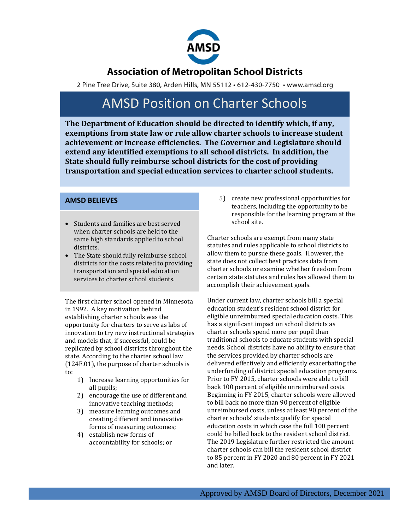

## **Association of Metropolitan School Districts**

2 Pine Tree Drive, Suite 380, Arden Hills, MN 55112 · 612-430-7750 · www.amsd.org

## AMSD Position on Charter Schools

**The Department of Education should be directed to identify which, if any, exemptions from state law or rule allow charter schools to increase student achievement or increase efficiencies. The Governor and Legislature should extend any identified exemptions to all school districts. In addition, the State should fully reimburse school districts for the cost of providing transportation and special education services to charter school students.**

### **AMSD BELIEVES**

- Students and families are best served when charter schools are held to the same high standards applied to school districts.
- The State should fully reimburse school districts for the costs related to providing transportation and special education services to charter school students.

The first charter school opened in Minnesota in 1992. A key motivation behind establishing charter schools was the opportunity for charters to serve as labs of innovation to try new instructional strategies and models that, if successful, could be replicated by school districts throughout the state. According to the charter school law (124E.01), the purpose of charter schools is to:

- 1) Increase learning opportunities for all pupils;
- 2) encourage the use of different and innovative teaching methods;
- 3) measure learning outcomes and creating different and innovative forms of measuring outcomes;
- 4) establish new forms of accountability for schools; or

5) create new professional opportunities for teachers, including the opportunity to be responsible for the learning program at the school site.

Charter schools are exempt from many state statutes and rules applicable to school districts to allow them to pursue these goals. However, the state does not collect best practices data from charter schools or examine whether freedom from certain state statutes and rules has allowed them to accomplish their achievement goals.

Under current law, charter schools bill a special education student's resident school district for eligible unreimbursed special education costs. This has a significant impact on school districts as charter schools spend more per pupil than traditional schools to educate students with special needs. School districts have no ability to ensure that the services provided by charter schools are delivered effectively and efficiently exacerbating the underfunding of district special education programs. Prior to FY 2015, charter schools were able to bill back 100 percent of eligible unreimbursed costs. Beginning in FY 2015, charter schools were allowed to bill back no more than 90 percent of eligible unreimbursed costs, unless at least 90 percent of the charter schools' students qualify for special education costs in which case the full 100 percent could be billed back to the resident school district. The 2019 Legislature further restricted the amount charter schools can bill the resident school district to 85 percent in FY 2020 and 80 percent in FY 2021 and later.